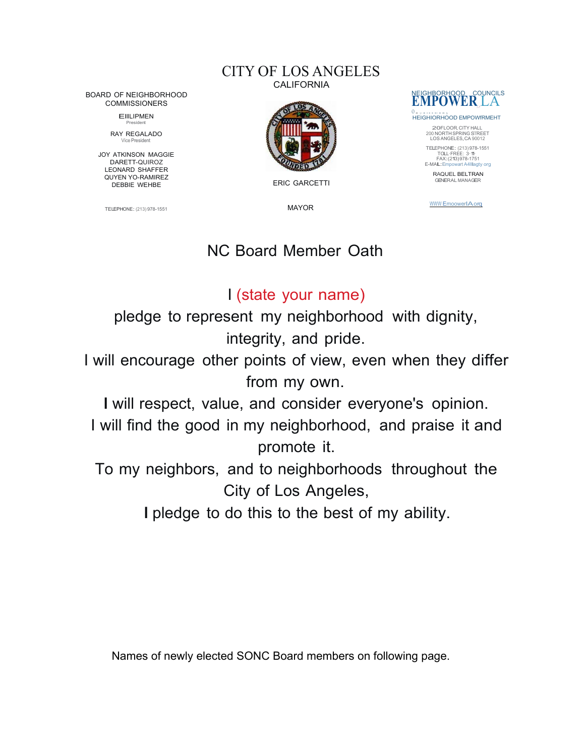#### CITY OF LOS ANGELES CALIFORNIA

BOARD OF NEIGHBORHOOD COMMISSIONERS

> EllLIPMEN President

RAY REGALADO VicePresident

JOY ATKINSON MAGGIE DARETT-QUIROZ LEONARD SHAFFER QUYEN YO-RAMIREZ DEBBIE WEHBE

TELEPHONE: (213) 978-1551 MAYOR WWW EmoowerlAorq



ERIC GARCETTI

# NEIGHBORHOOD COUNCILS<br>**EMPOWER**:LA<br>OR, ENPOWFRMEHT

20FLOOR,CITY HALL 200 NORTHSPRING STREET LOS ANGELES,CA <sup>90012</sup>

TELEPHONE: (213) 978-1551<br>TOLL・FREE: 3・11・<br>FAX: (213) 978-1751<br>E-MAL:Empowart A4Illagty org

RAQUEL BELTRAN GENERAL MANAGER

# NC Board Member Oath

## I (state your name)

pledge to represent my neighborhood with dignity, integrity, and pride.

I will encourage other points of view, even when they differ from my own.

I will respect, value, and consider everyone's opinion. I will find the good in my neighborhood, and praise it and promote it.

To my neighbors, and to neighborhoods throughout the City of Los Angeles,

I pledge to do this to the best of my ability.

Names of newly elected SONC Board members on following page.